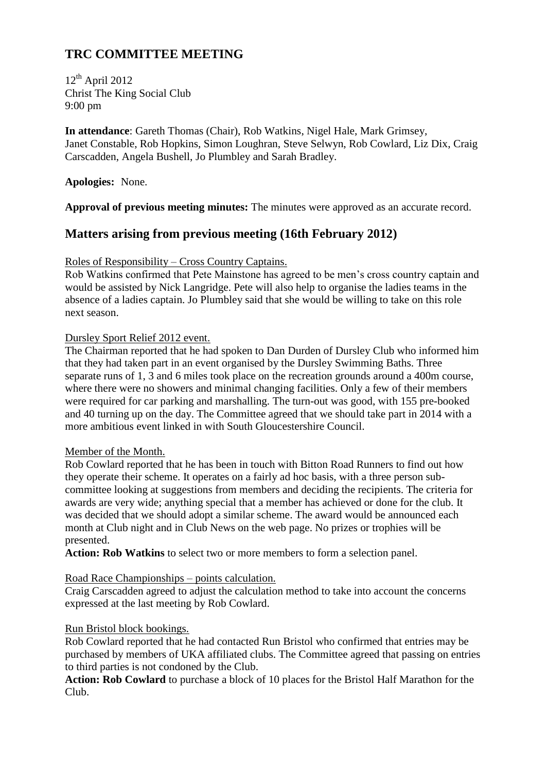# **TRC COMMITTEE MEETING**

12<sup>th</sup> April 2012 Christ The King Social Club 9:00 pm

**In attendance**: Gareth Thomas (Chair), Rob Watkins, Nigel Hale, Mark Grimsey, Janet Constable, Rob Hopkins, Simon Loughran, Steve Selwyn, Rob Cowlard, Liz Dix, Craig Carscadden, Angela Bushell, Jo Plumbley and Sarah Bradley.

**Apologies:** None.

**Approval of previous meeting minutes:** The minutes were approved as an accurate record.

# **Matters arising from previous meeting (16th February 2012)**

#### Roles of Responsibility – Cross Country Captains.

Rob Watkins confirmed that Pete Mainstone has agreed to be men's cross country captain and would be assisted by Nick Langridge. Pete will also help to organise the ladies teams in the absence of a ladies captain. Jo Plumbley said that she would be willing to take on this role next season.

#### Dursley Sport Relief 2012 event.

The Chairman reported that he had spoken to Dan Durden of Dursley Club who informed him that they had taken part in an event organised by the Dursley Swimming Baths. Three separate runs of 1, 3 and 6 miles took place on the recreation grounds around a 400m course, where there were no showers and minimal changing facilities. Only a few of their members were required for car parking and marshalling. The turn-out was good, with 155 pre-booked and 40 turning up on the day. The Committee agreed that we should take part in 2014 with a more ambitious event linked in with South Gloucestershire Council.

#### Member of the Month.

Rob Cowlard reported that he has been in touch with Bitton Road Runners to find out how they operate their scheme. It operates on a fairly ad hoc basis, with a three person subcommittee looking at suggestions from members and deciding the recipients. The criteria for awards are very wide; anything special that a member has achieved or done for the club. It was decided that we should adopt a similar scheme. The award would be announced each month at Club night and in Club News on the web page. No prizes or trophies will be presented.

**Action: Rob Watkins** to select two or more members to form a selection panel.

#### Road Race Championships – points calculation.

Craig Carscadden agreed to adjust the calculation method to take into account the concerns expressed at the last meeting by Rob Cowlard.

# Run Bristol block bookings.

Rob Cowlard reported that he had contacted Run Bristol who confirmed that entries may be purchased by members of UKA affiliated clubs. The Committee agreed that passing on entries to third parties is not condoned by the Club.

**Action: Rob Cowlard** to purchase a block of 10 places for the Bristol Half Marathon for the Club.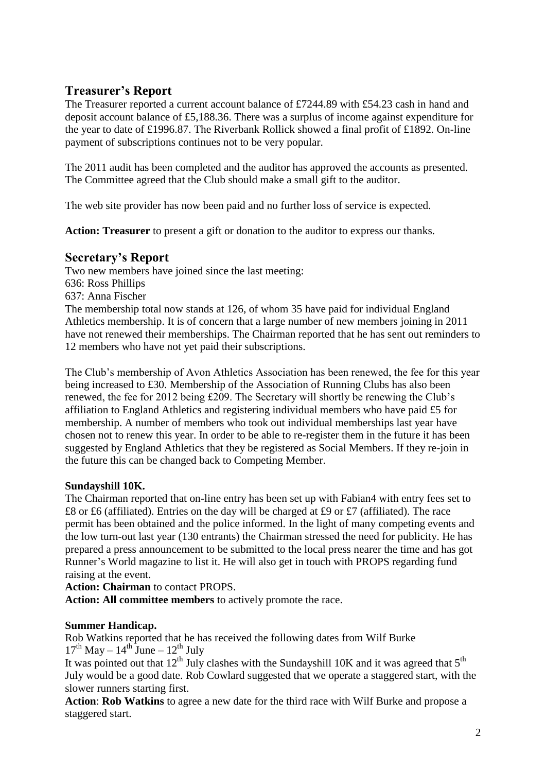# **Treasurer's Report**

The Treasurer reported a current account balance of £7244.89 with £54.23 cash in hand and deposit account balance of £5,188.36. There was a surplus of income against expenditure for the year to date of £1996.87. The Riverbank Rollick showed a final profit of £1892. On-line payment of subscriptions continues not to be very popular.

The 2011 audit has been completed and the auditor has approved the accounts as presented. The Committee agreed that the Club should make a small gift to the auditor.

The web site provider has now been paid and no further loss of service is expected.

**Action: Treasurer** to present a gift or donation to the auditor to express our thanks.

# **Secretary's Report**

Two new members have joined since the last meeting: 636: Ross Phillips 637: Anna Fischer The membership total now stands at 126, of whom 35 have paid for individual England Athletics membership. It is of concern that a large number of new members joining in 2011 have not renewed their memberships. The Chairman reported that he has sent out reminders to 12 members who have not yet paid their subscriptions.

The Club's membership of Avon Athletics Association has been renewed, the fee for this year being increased to £30. Membership of the Association of Running Clubs has also been renewed, the fee for 2012 being £209. The Secretary will shortly be renewing the Club's affiliation to England Athletics and registering individual members who have paid £5 for membership. A number of members who took out individual memberships last year have chosen not to renew this year. In order to be able to re-register them in the future it has been suggested by England Athletics that they be registered as Social Members. If they re-join in the future this can be changed back to Competing Member.

# **Sundayshill 10K.**

The Chairman reported that on-line entry has been set up with Fabian4 with entry fees set to £8 or £6 (affiliated). Entries on the day will be charged at £9 or £7 (affiliated). The race permit has been obtained and the police informed. In the light of many competing events and the low turn-out last year (130 entrants) the Chairman stressed the need for publicity. He has prepared a press announcement to be submitted to the local press nearer the time and has got Runner's World magazine to list it. He will also get in touch with PROPS regarding fund raising at the event.

**Action: Chairman** to contact PROPS.

**Action: All committee members** to actively promote the race.

# **Summer Handicap.**

Rob Watkins reported that he has received the following dates from Wilf Burke  $17<sup>th</sup>$  May –  $14<sup>th</sup>$  June –  $12<sup>th</sup>$  July

It was pointed out that  $12<sup>th</sup>$  July clashes with the Sundayshill 10K and it was agreed that  $5<sup>th</sup>$ July would be a good date. Rob Cowlard suggested that we operate a staggered start, with the slower runners starting first.

**Action**: **Rob Watkins** to agree a new date for the third race with Wilf Burke and propose a staggered start.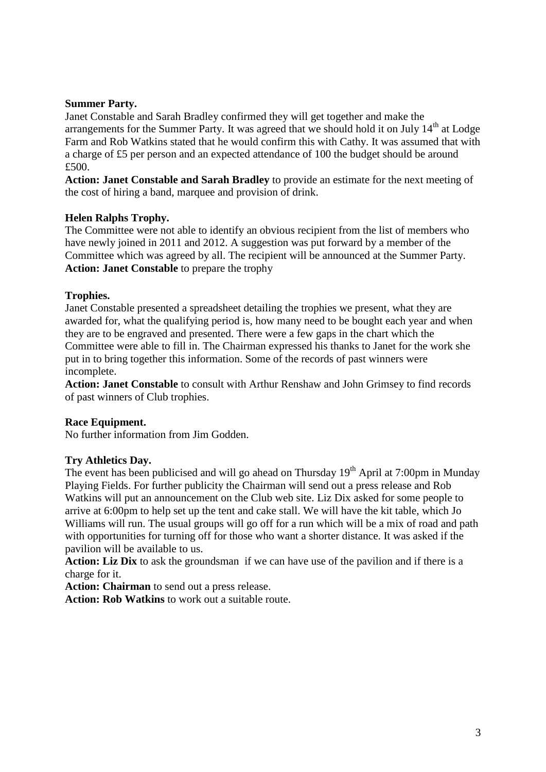#### **Summer Party.**

Janet Constable and Sarah Bradley confirmed they will get together and make the arrangements for the Summer Party. It was agreed that we should hold it on July  $14<sup>th</sup>$  at Lodge Farm and Rob Watkins stated that he would confirm this with Cathy. It was assumed that with a charge of £5 per person and an expected attendance of 100 the budget should be around £500.

**Action: Janet Constable and Sarah Bradley** to provide an estimate for the next meeting of the cost of hiring a band, marquee and provision of drink.

#### **Helen Ralphs Trophy.**

The Committee were not able to identify an obvious recipient from the list of members who have newly joined in 2011 and 2012. A suggestion was put forward by a member of the Committee which was agreed by all. The recipient will be announced at the Summer Party. **Action: Janet Constable** to prepare the trophy

#### **Trophies.**

Janet Constable presented a spreadsheet detailing the trophies we present, what they are awarded for, what the qualifying period is, how many need to be bought each year and when they are to be engraved and presented. There were a few gaps in the chart which the Committee were able to fill in. The Chairman expressed his thanks to Janet for the work she put in to bring together this information. Some of the records of past winners were incomplete.

**Action: Janet Constable** to consult with Arthur Renshaw and John Grimsey to find records of past winners of Club trophies.

# **Race Equipment.**

No further information from Jim Godden.

# **Try Athletics Day.**

The event has been publicised and will go ahead on Thursday  $19<sup>th</sup>$  April at 7:00pm in Munday Playing Fields. For further publicity the Chairman will send out a press release and Rob Watkins will put an announcement on the Club web site. Liz Dix asked for some people to arrive at 6:00pm to help set up the tent and cake stall. We will have the kit table, which Jo Williams will run. The usual groups will go off for a run which will be a mix of road and path with opportunities for turning off for those who want a shorter distance. It was asked if the pavilion will be available to us.

**Action: Liz Dix** to ask the groundsman if we can have use of the pavilion and if there is a charge for it.

**Action: Chairman** to send out a press release.

**Action: Rob Watkins** to work out a suitable route.